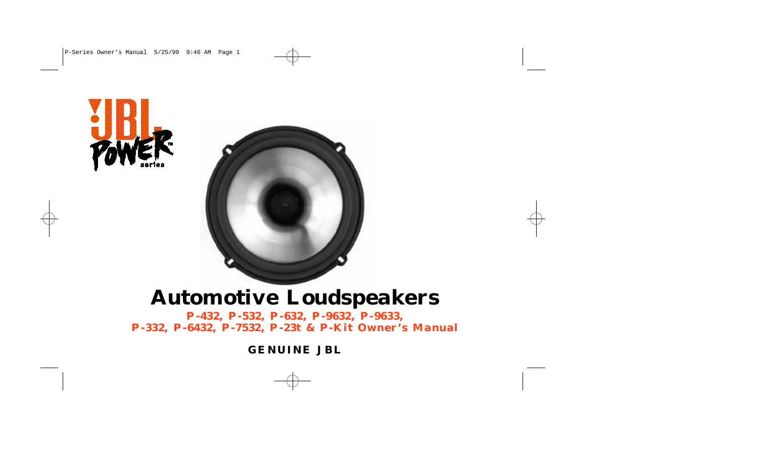



# **Automotive Loudspeakers**

**P-432, P-532, P-632, P-9632, P-9633, P-332, P-6432, P-7532, P-23t & P-Kit Owner's Manual**

**GENUINE JBL**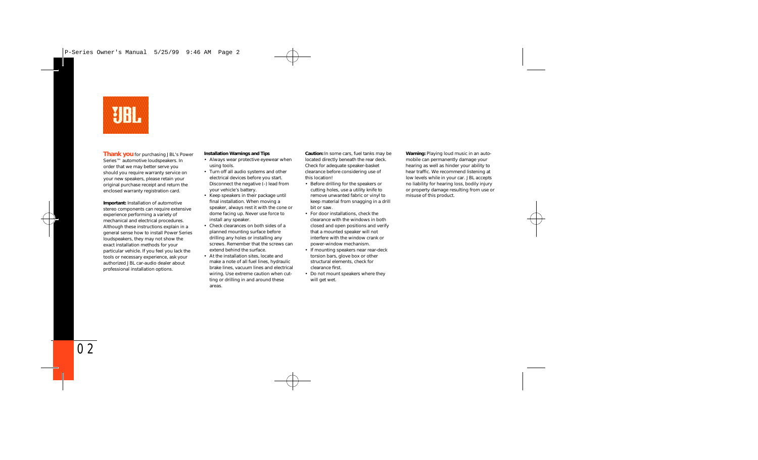

**Thank you** for purchasing JBL's Power Series™ automotive loudspeakers. In order that we may better serve you should you require warranty service on your new speakers, please retain your original purchase receipt and return the enclosed warranty registration card.

**Important:** Installation of automotive stereo components can require extensive experience performing a variety of mechanical and electrical procedures. Although these instructions explain in a general sense how to install Power Series loudspeakers, they may not show the exact installation methods for your particular vehicle. If you feel you lack the tools or necessary experience, ask your authorized JBL car-audio dealer about professional installation options.

### **Installation Warnings and Tips**

- Always wear protective eyewear when using tools.
- Turn off all audio systems and other electrical devices before you start. Disconnect the negative (–) lead from your vehicle's battery.
- Keep speakers in their package until final installation. When moving a speaker, always rest it with the cone or dome facing up. Never use force to install any speaker.
- Check clearances on both sides of a planned mounting surface before drilling any holes or installing any screws. Remember that the screws can extend behind the surface.
- At the installation sites, locate and make a note of all fuel lines, hydraulic brake lines, vacuum lines and electrical wiring. Use extreme caution when cutting or drilling in and around these areas.

**Caution:** In some cars, fuel tanks may be located directly beneath the rear deck. Check for adequate speaker-basket clearance before considering use of this location!

- Before drilling for the speakers or cutting holes, use a utility knife to remove unwanted fabric or vinyl to keep material from snagging in a drill bit or saw.
- For door installations, check the clearance with the windows in both closed and open positions and verify that a mounted speaker will not interfere with the window crank or power-window mechanism.
- If mounting speakers near rear-deck torsion bars, glove box or other structural elements, check for clearance first.
- Do not mount speakers where they will get wet.

**Warning:** Playing loud music in an automobile can permanently damage your hearing as well as hinder your ability to hear traffic. We recommend listening at low levels while in your car. JBL accepts no liability for hearing loss, bodily injury or property damage resulting from use or misuse of this product.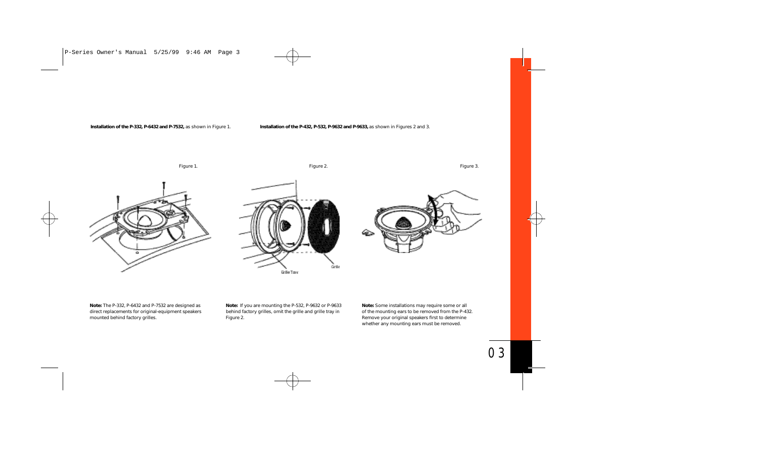### **Installation of the P-332, P-6432 and P-7532,** as shown in Figure 1.

### **Installation of the P-432, P-532, P-9632 and P-9633,** as shown in Figures 2 and 3.

Figure 1.

Figure 2.

Figure 3.







**Note:** The P-332, P-6432 and P-7532 are designed as direct replacements for original-equipment speakers mounted behind factory grilles.

**Note:** If you are mounting the P-532, P-9632 or P-9633 behind factory grilles, omit the grille and grille tray in Figure 2.

**Note:** Some installations may require some or all of the mounting ears to be removed from the P-432. Remove your original speakers first to determine whether any mounting ears must be removed.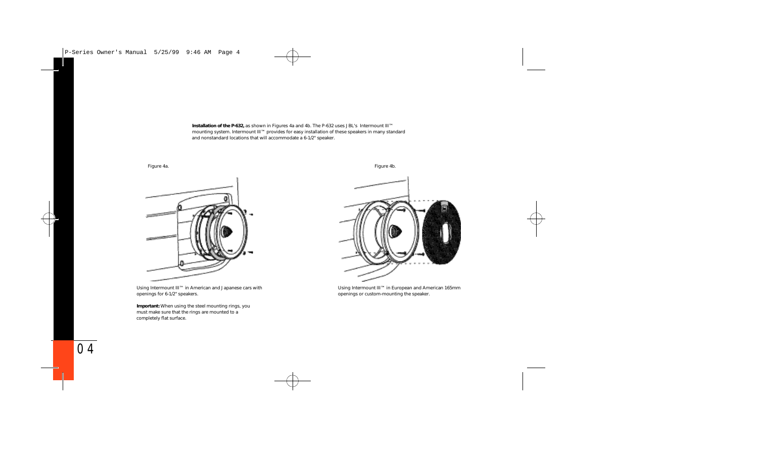**Installation of the P-632,** as shown in Figures 4a and 4b. The P-632 uses JBL's Intermount III™ mounting system. Intermount III™ provides for easy installation of these speakers in many standard and nonstandard locations that will accommodate a 6-1/2" speaker.



Using Intermount III™ in American and Japanese cars with openings for 6-1/2" speakers.

**Important:** When using the steel mounting rings, you must make sure that the rings are mounted to a completely flat surface.



Using Intermount III™ in European and American 165mm openings or custom-mounting the speaker.

Figure 4a. Figure 4b.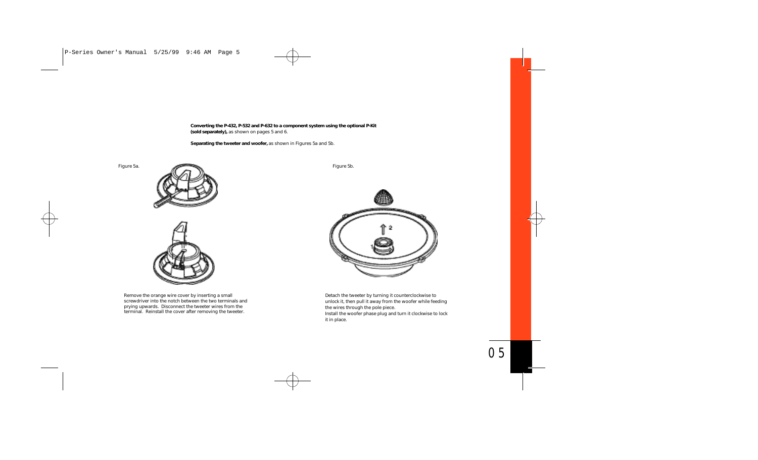**Converting the P-432, P-532 and P-632 to a component system using the optional P-Kit (sold separately),** as shown on pages 5 and 6.

**Separating the tweeter and woofer,** as shown in Figures 5a and 5b.

Figure 5a.





Remove the orange wire cover by inserting a small screwdriver into the notch between the two terminals and prying upwards. Disconnect the tweeter wires from the terminal. Reinstall the cover after removing the tweeter.

Figure 5b.



Detach the tweeter by turning it counterclockwise to unlock it, then pull it away from the woofer while feeding the wires through the pole piece.

Install the woofer phase plug and turn it clockwise to lock it in place.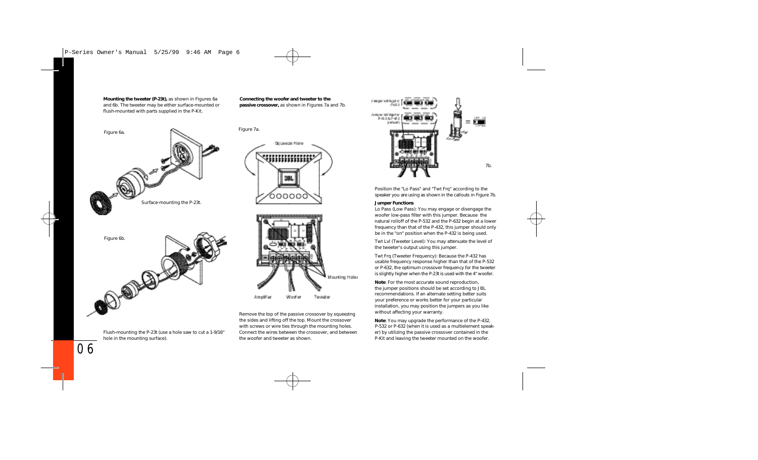**Mounting the tweeter (P-23t),** as shown in Figures 6a and 6b. The tweeter may be either surface-mounted or flush-mounted with parts supplied in the P-Kit.

**Connecting the woofer and tweeter to the passive crossover,** as shown in Figures 7a and 7b.



Flush-mounting the P-23t (use a hole saw to cut a 1-9/16" hole in the mounting surface).





Remove the top of the passive crossover by squeezing the sides and lifting off the top. Mount the crossover with screws or wire ties through the mounting holes. Connect the wires between the crossover, and between the woofer and tweeter as shown.



Position the "Lo Pass" and "Twt Frq" according to the speaker you are using as shown in the callouts in Figure 7b.

#### **Jumper Functions**

Lo Pass (Low Pass): You may engage or disengage the woofer low-pass filter with this jumper. Because the natural rolloff of the P-532 and the P-632 begin at a lower frequency than that of the P-432, this jumper should only be in the "on" position when the P-432 is being used.

Twt Lvl (Tweeter Level): You may attenuate the level of the tweeter's output using this jumper.

Twt Frq (Tweeter Frequency): Because the P-432 has usable frequency response higher than that of the P-532 or P-632, the optimum crossover frequency for the tweeter is slightly higher when the P-23t is used with the 4" woofer.

**Note**: For the most accurate sound reproduction, the jumper positions should be set according to JBL recommendations. If an alternate setting better suits your preference or works better for your particular installation, you may position the jumpers as you like without affecting your warranty.

**Note**: You may upgrade the performance of the P-432, P-532 or P-632 (when it is used as a multielement speaker) by utilizing the passive crossover contained in the P-Kit and leaving the tweeter mounted on the woofer.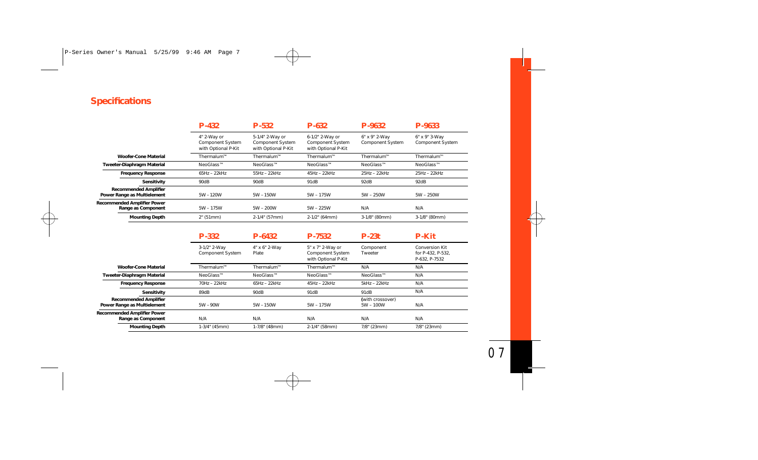## **Specifications**

|                                                             | $P-432$                                                       | $P-532$                                                           | $P-632$                                                           | P-9632                                   | P-9633                                                      |
|-------------------------------------------------------------|---------------------------------------------------------------|-------------------------------------------------------------------|-------------------------------------------------------------------|------------------------------------------|-------------------------------------------------------------|
|                                                             | 4" 2-Way or<br><b>Component System</b><br>with Optional P-Kit | 5-1/4" 2-Way or<br><b>Component System</b><br>with Optional P-Kit | 6-1/2" 2-Way or<br><b>Component System</b><br>with Optional P-Kit | 6" x 9" 2-Wav<br><b>Component System</b> | 6" x 9" 3-Way<br><b>Component System</b>                    |
| <b>Woofer-Cone Material</b>                                 | Thermalum™                                                    | Thermalum™                                                        | Thermalum™                                                        | Thermalum™                               | Thermalum™                                                  |
| Tweeter-Diaphragm Material                                  | NeoGlass™                                                     | NeoGlass™                                                         | NeoGlass™                                                         | NeoGlass™                                | NeoGlass™                                                   |
| <b>Frequency Response</b>                                   | $65Hz - 22kHz$                                                | $55Hz - 22kHz$                                                    | $45Hz - 22kHz$                                                    | 25Hz - 22kHz                             | 25Hz - 22kHz                                                |
| <b>Sensitivity</b>                                          | 90dB                                                          | 90dB                                                              | 91dB                                                              | 92dB                                     | 92dB                                                        |
| <b>Recommended Amplifier</b><br>Power Range as Multielement | $5W - 120W$                                                   | $5W - 150W$                                                       | 5W - 175W                                                         | $5W - 250W$                              | $5W - 250W$                                                 |
| <b>Recommended Amplifier Power</b><br>Range as Component    | $5W - 175W$                                                   | $5W - 200W$                                                       | $5W - 225W$                                                       | N/A                                      | N/A                                                         |
| <b>Mounting Depth</b>                                       | 2" (51mm)                                                     | 2-1/4" (57mm)                                                     | 2-1/2" (64mm)                                                     | 3-1/8" (80mm)                            | 3-1/8" (80mm)                                               |
|                                                             | $P-332$                                                       | $P-6432$                                                          | P-7532                                                            | $P-23t$                                  | <b>P-Kit</b>                                                |
|                                                             | 3-1/2" 2-Way<br><b>Component System</b>                       | 4" x 6" 2-Way<br>Plate                                            | 5" x 7" 2-Way or<br>Component System<br>with Optional P-Kit       | Component<br>Tweeter                     | <b>Conversion Kit</b><br>for P-432, P-532,<br>P-632, P-7532 |
| <b>Woofer-Cone Material</b>                                 | Thermalum™                                                    | Thermalum™                                                        | Thermalum™                                                        | N/A                                      | N/A                                                         |
| <b>Tweeter-Diaphragm Material</b>                           | NeoGlass™                                                     | NeoGlass™                                                         | NeoGlass™                                                         | NeoGlass™                                | N/A                                                         |
| <b>Frequency Response</b>                                   | 70Hz - 22kHz                                                  | $65Hz - 22kHz$                                                    | $45Hz - 22kHz$                                                    | $5kHz - 22kHz$                           | N/A                                                         |
| Sensitivity                                                 | 89dB                                                          | 90dB                                                              | 91dB                                                              | 91dB                                     | N/A                                                         |
| <b>Recommended Amplifier</b><br>Power Range as Multielement | $5W - 90W$                                                    | $5W - 150W$                                                       | 5W - 175W                                                         | (with crossover)<br>$5W - 100W$          | N/A                                                         |
| <b>Recommended Amplifier Power</b><br>Range as Component    | N/A                                                           | N/A                                                               | N/A                                                               | N/A                                      | N/A                                                         |
| <b>Mounting Depth</b>                                       | $1-3/4$ " (45mm)                                              | 1-7/8" (48mm)                                                     | 2-1/4" (58mm)                                                     | 7/8" (23mm)                              | 7/8" (23mm)                                                 |